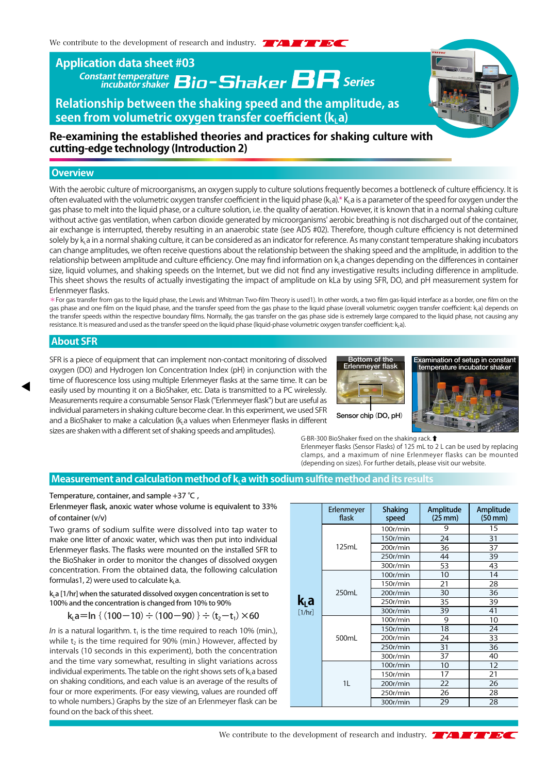## **Constant temperature incubator shaker Series Application data sheet #03**

**Relationship between the shaking speed and the amplitude, as**  seen from volumetric oxygen transfer coefficient (k, a)



### **Re-examining the established theories and practices for shaking culture with cutting-edge technology (Introduction 2)**

#### **Overview**

With the aerobic culture of microorganisms, an oxygen supply to culture solutions frequently becomes a bottleneck of culture efficiency. It is often evaluated with the volumetric oxygen transfer coefficient in the liquid phase  $(k, a)* K a$  is a parameter of the speed for oxygen under the gas phase to melt into the liquid phase, or a culture solution, i.e. the quality of aeration. However, it is known that in a normal shaking culture without active gas ventilation, when carbon dioxide generated by microorganisms' aerobic breathing is not discharged out of the container, air exchange is interrupted, thereby resulting in an anaerobic state (see ADS #02). Therefore, though culture efficiency is not determined solely by k<sub>i</sub> a in a normal shaking culture, it can be considered as an indicator for reference. As many constant temperature shaking incubators can change amplitudes, we often receive questions about the relationship between the shaking speed and the amplitude, in addition to the relationship between amplitude and culture efficiency. One may find information on k, a changes depending on the differences in container size, liquid volumes, and shaking speeds on the Internet, but we did not find any investigative results including difference in amplitude. This sheet shows the results of actually investigating the impact of amplitude on kLa by using SFR, DO, and pH measurement system for Erlenmeyer flasks.

\*For gas transfer from gas to the liquid phase, the Lewis and Whitman Two-film Theory is used1). In other words, a two film gas-liquid interface as a border, one film on the gas phase and one film on the liquid phase, and the transfer speed from the gas phase to the liquid phase (overall volumetric oxygen transfer coefficient: ka) depends on the transfer speeds within the respective boundary films. Normally, the gas transfer on the gas phase side is extremely large compared to the liquid phase, not causing any resistance. It is measured and used as the transfer speed on the liquid phase (liquid-phase volumetric oxygen transfer coefficient: kLa).

#### **About SFR**

SFR is a piece of equipment that can implement non-contact monitoring of dissolved oxygen (DO) and Hydrogen Ion Concentration Index (pH) in conjunction with the time of fluorescence loss using multiple Erlenmeyer flasks at the same time. It can be easily used by mounting it on a BioShaker, etc. Data is transmitted to a PC wirelessly. Measurements require a consumable Sensor Flask ("Erlenmeyer flask") but are useful as individual parameters in shaking culture become clear. In this experiment, we used SFR and a BioShaker to make a calculation ( $k$ , a values when Erlenmeyer flasks in different sizes are shaken with a different set of shaking speeds and amplitudes).





G·BR-300 BioShaker fixed on the shaking rack.⬆

Erlenmeyer flasks (Sensor Flasks) of 125 mL to 2 L can be used by replacing clamps, and a maximum of nine Erlenmeyer flasks can be mounted (depending on sizes). For further details, please visit our website.

#### **Measurement and calculation method of k, a with sodium sulfite method and its results**

Temperature, container, and sample +37 ℃ ,

Erlenmeyer flask, anoxic water whose volume is equivalent to 33% of container (v/v)

Two grams of sodium sulfite were dissolved into tap water to make one litter of anoxic water, which was then put into individual Erlenmeyer flasks. The flasks were mounted on the installed SFR to the BioShaker in order to monitor the changes of dissolved oxygen concentration. From the obtained data, the following calculation formulas1, 2) were used to calculate  $k_1$ a.

 $k<sub>L</sub>a$  [1/hr] when the saturated dissolved oxygen concentration is set to 100% and the concentration is changed from 10% to 90%

$$
k_{L}a = \ln \{ (100 - 10) \div (100 - 90) \} \div (t_{2} - t_{1}) \times 60
$$

In is a natural logarithm.  $t_1$  is the time required to reach 10% (min.), while  $t_2$  is the time required for 90% (min.) However, affected by intervals (10 seconds in this experiment), both the concentration and the time vary somewhat, resulting in slight variations across individual experiments. The table on the right shows sets of  $k_1$  a based on shaking conditions, and each value is an average of the results of four or more experiments. (For easy viewing, values are rounded off to whole numbers.) Graphs by the size of an Erlenmeyer flask can be found on the back of this sheet.

| k <sub>L</sub> a<br>[1/hr] | Erlenmeyer<br>flask | <b>Shaking</b><br>speed | Amplitude<br>$(25$ mm $)$ | Amplitude<br>$(50$ mm $)$ |
|----------------------------|---------------------|-------------------------|---------------------------|---------------------------|
|                            | 125mL               | 100r/min                | 9                         | 15                        |
|                            |                     | 150r/min                | 24                        | 31                        |
|                            |                     | 200r/min                | 36                        | 37                        |
|                            |                     | 250r/min                | 44                        | 39                        |
|                            |                     | 300r/min                | 53                        | 43                        |
|                            | 250mL               | 100r/min                | 10                        | 14                        |
|                            |                     | 150r/min                | 21                        | 28                        |
|                            |                     | 200r/min                | 30                        | 36                        |
|                            |                     | 250r/min                | 35                        | 39                        |
|                            |                     | 300r/min                | 39                        | 41                        |
|                            | 500mL               | 100r/min                | 9                         | 10                        |
|                            |                     | 150r/min                | 18                        | 24                        |
|                            |                     | 200r/min                | 24                        | 33                        |
|                            |                     | 250r/min                | 31                        | 36                        |
|                            |                     | 300r/min                | 37                        | 40                        |
|                            | 1L                  | 100r/min                | 10                        | 12                        |
|                            |                     | 150r/min                | 17                        | 21                        |
|                            |                     | 200r/min                | 22                        | 26                        |
|                            |                     | 250r/min                | 26                        | 28                        |
|                            |                     | 300r/min                | 29                        | 28                        |